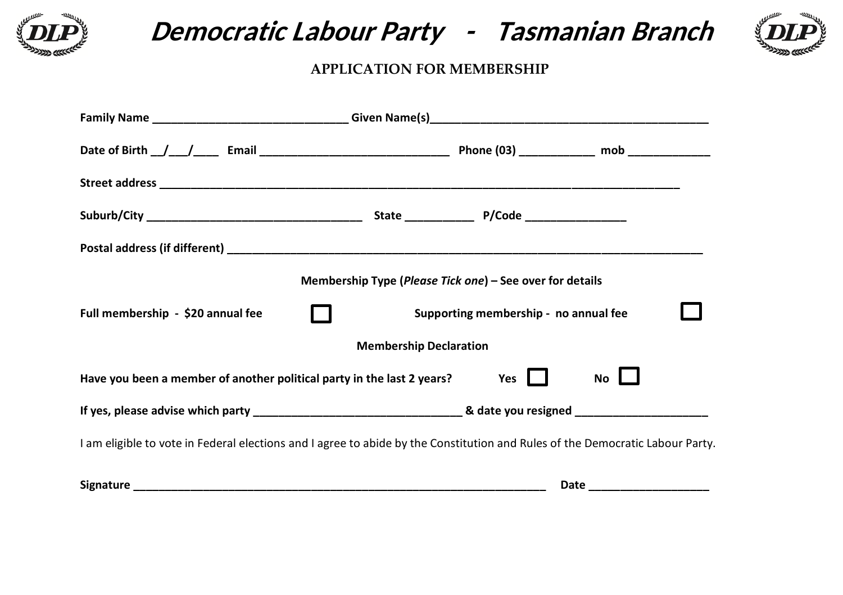

**Democratic Labour Party - Tasmanian Branch**



## **APPLICATION FOR MEMBERSHIP**

|                                                                                                                               | Membership Type (Please Tick one) – See over for details |                                       |                            |  |
|-------------------------------------------------------------------------------------------------------------------------------|----------------------------------------------------------|---------------------------------------|----------------------------|--|
| Full membership - \$20 annual fee                                                                                             |                                                          | Supporting membership - no annual fee |                            |  |
|                                                                                                                               | <b>Membership Declaration</b>                            |                                       |                            |  |
| Have you been a member of another political party in the last 2 years?                                                        |                                                          | Yes                                   | No L                       |  |
|                                                                                                                               |                                                          |                                       |                            |  |
| I am eligible to vote in Federal elections and I agree to abide by the Constitution and Rules of the Democratic Labour Party. |                                                          |                                       |                            |  |
|                                                                                                                               |                                                          |                                       | Date _____________________ |  |